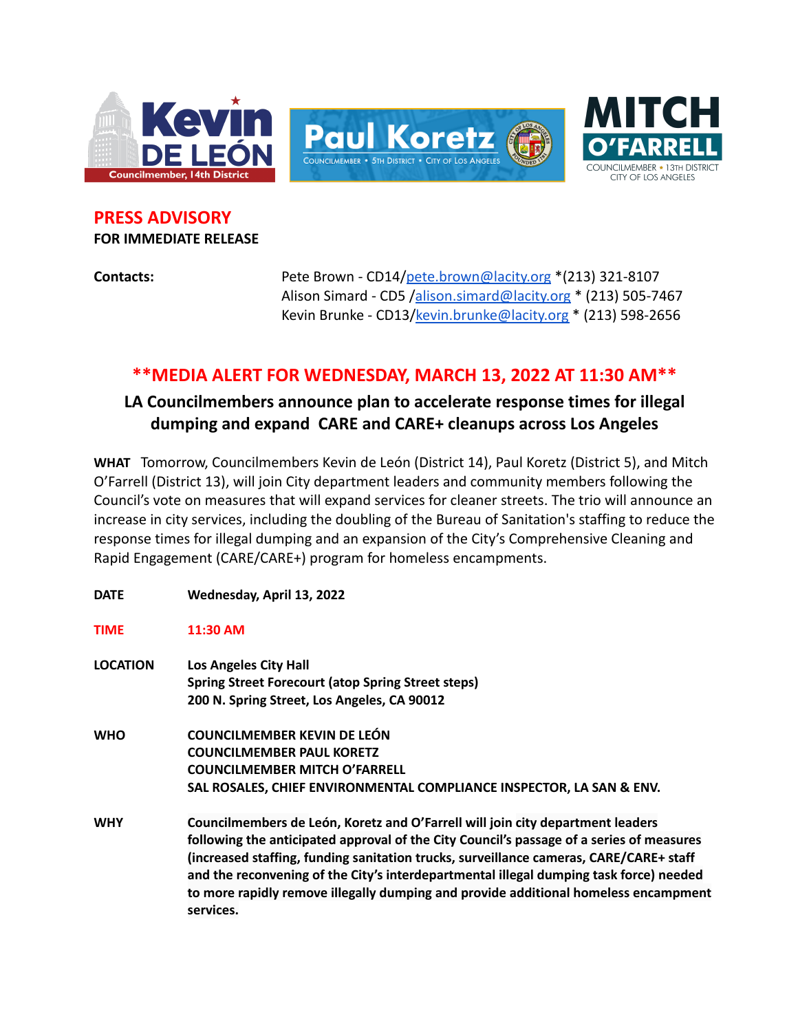

**PRESS ADVISORY FOR IMMEDIATE RELEASE**

**Contacts:** Pete Brown - CD14/[pete.brown@lacity.org](mailto:pete.brown@lacity.org) \*(213) 321-8107 Alison Simard - CD5 /[alison.simard@lacity.org](mailto:alison.simard@lacity.org) \* (213) 505-7467 Kevin Brunke - CD13[/kevin.brunke@lacity.org](mailto:kevin.brunke@lacity.org) \* (213) 598-2656

## **\*\*MEDIA ALERT FOR WEDNESDAY, MARCH 13, 2022 AT 11:30 AM\*\***

## **LA Councilmembers announce plan to accelerate response times for illegal dumping and expand CARE and CARE+ cleanups across Los Angeles**

**WHAT** Tomorrow, Councilmembers Kevin de León (District 14), Paul Koretz (District 5), and Mitch O'Farrell (District 13), will join City department leaders and community members following the Council's vote on measures that will expand services for cleaner streets. The trio will announce an increase in city services, including the doubling of the Bureau of Sanitation's staffing to reduce the response times for illegal dumping and an expansion of the City's Comprehensive Cleaning and Rapid Engagement (CARE/CARE+) program for homeless encampments.

**DATE Wednesday, April 13, 2022 TIME 11:30 AM LOCATION Los Angeles City Hall Spring Street Forecourt (atop Spring Street steps) 200 N. Spring Street, Los Angeles, CA 90012 WHO COUNCILMEMBER KEVIN DE LEÓN COUNCILMEMBER PAUL KORETZ COUNCILMEMBER MITCH O'FARRELL SAL ROSALES, CHIEF ENVIRONMENTAL COMPLIANCE INSPECTOR, LA SAN & ENV. WHY Councilmembers de León, Koretz and O'Farrell will join city department leaders following the anticipated approval of the City Council's passage of a series of measures (increased staffing, funding sanitation trucks, surveillance cameras, CARE/CARE+ staff and the reconvening of the City's interdepartmental illegal dumping task force) needed to more rapidly remove illegally dumping and provide additional homeless encampment services.**